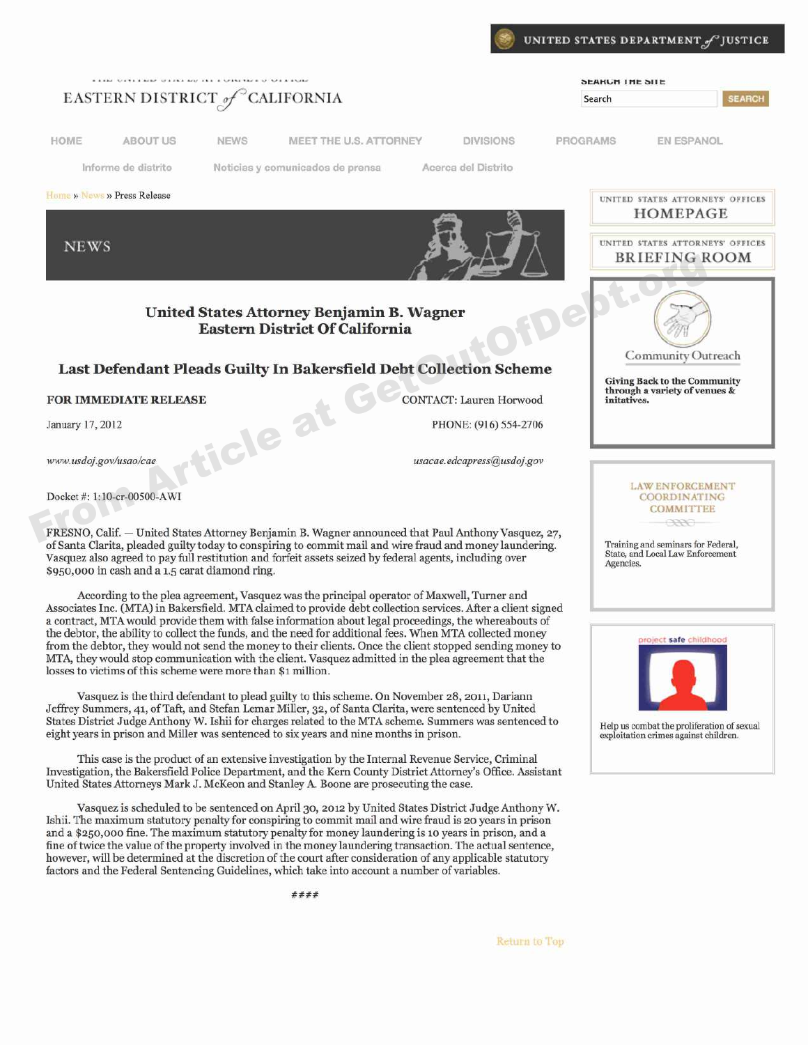